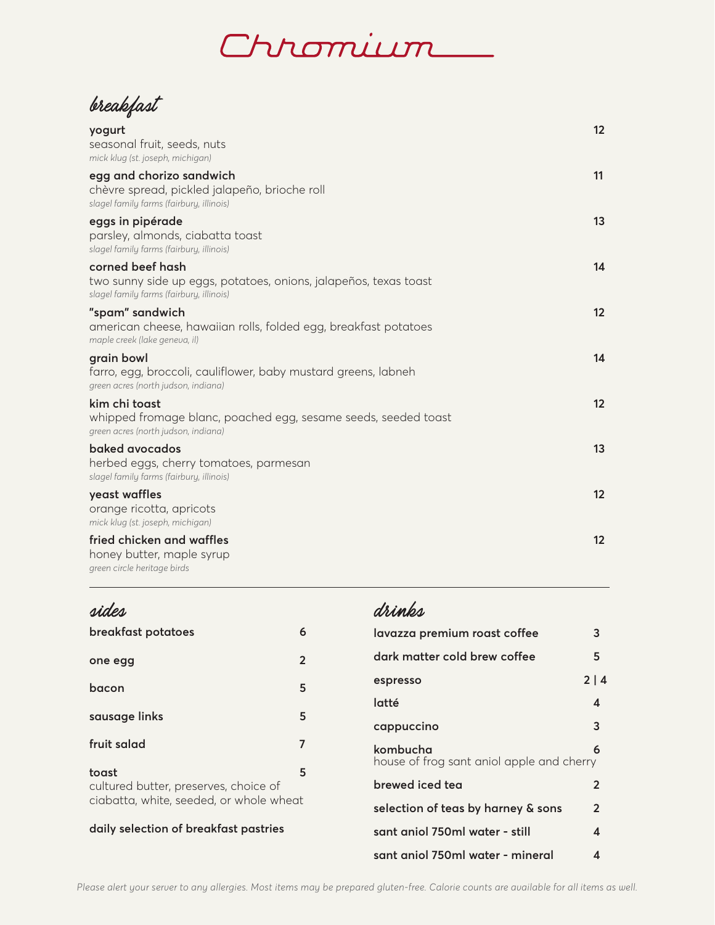## <u>Ihromium</u>

breakfast

| yogurt<br>seasonal fruit, seeds, nuts<br>mick klug (st. joseph, michigan)                                                        | 12 |
|----------------------------------------------------------------------------------------------------------------------------------|----|
| egg and chorizo sandwich<br>chèvre spread, pickled jalapeño, brioche roll<br>slagel family farms (fairbury, illinois)            | 11 |
| eggs in pipérade<br>parsley, almonds, ciabatta toast<br>slagel family farms (fairbury, illinois)                                 | 13 |
| corned beef hash<br>two sunny side up eggs, potatoes, onions, jalapeños, texas toast<br>slagel family farms (fairbury, illinois) | 14 |
| "spam" sandwich<br>american cheese, hawaiian rolls, folded egg, breakfast potatoes<br>maple creek (lake geneva, il)              | 12 |
| grain bowl<br>farro, egg, broccoli, cauliflower, baby mustard greens, labneh<br>green acres (north judson, indiana)              | 14 |
| kim chi toast<br>whipped fromage blanc, poached egg, sesame seeds, seeded toast<br>green acres (north judson, indiana)           | 12 |
| baked avocados<br>herbed eggs, cherry tomatoes, parmesan<br>slagel family farms (fairbury, illinois)                             | 13 |
| yeast waffles<br>orange ricotta, apricots<br>mick klug (st. joseph, michigan)                                                    | 12 |
| fried chicken and waffles<br>honey butter, maple syrup<br>green circle heritage birds                                            | 12 |

## drinks sides **breakfast potatoes 6 lavazza premium roast coffee 3 dark matter cold brew coffee 5 one egg 2 espresso 2 | 4 bacon 5 latté 4 sausage links 5 cappuccino 3 fruit salad** 7 **kombucha 6** house of frog sant aniol apple and cherry **toast 5 brewed iced tea 2** cultured butter, preserves, choice of ciabatta, white, seeded, or whole wheat **selection of teas by harney & sons 2 daily selection of breakfast pastries sant aniol 750ml water - still 4 sant aniol 750ml water - mineral 4**